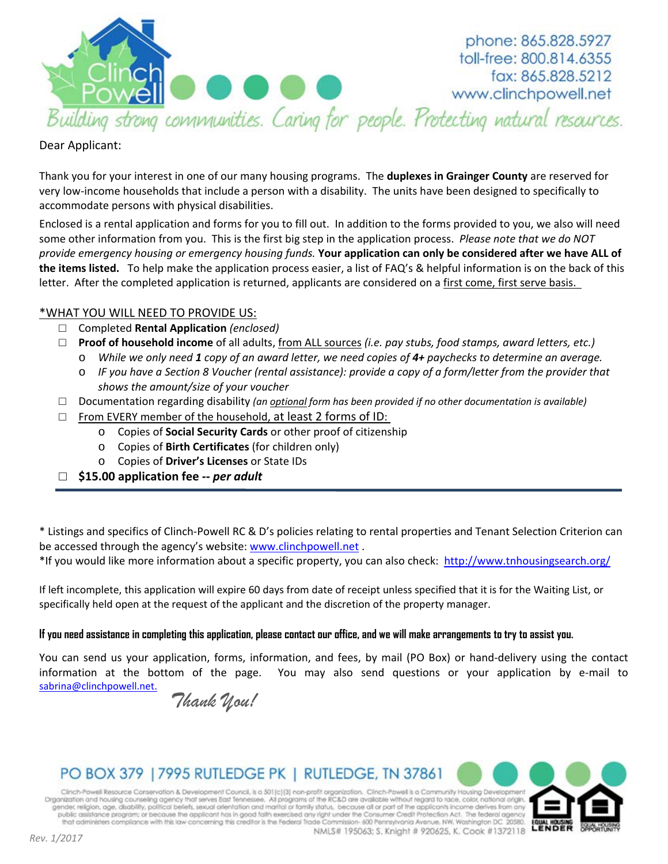

phone: 865.828.5927 toll-free: 800.814.6355 fax: 865.828.5212 www.clinchpowell.net

## Dear Applicant:

Thank you for your interest in one of our many housing programs. The **duplexes in Grainger County** are reserved for very low-income households that include a person with a disability. The units have been designed to specifically to accommodate persons with physical disabilities.

Enclosed is a rental application and forms for you to fill out. In addition to the forms provided to you, we also will need some other information from you. This is the first big step in the application process. *Please note that we do NOT provide emergency housing or emergency housing funds.* **Your application can only be considered after we have ALL of the items listed.** To help make the application process easier, a list of FAQ's & helpful information is on the back of this letter. After the completed application is returned, applicants are considered on a first come, first serve basis.

## \*WHAT YOU WILL NEED TO PROVIDE US:

- □ Completed **Rental Application** *(enclosed)*
- □ **Proof of household income** of all adults, from ALL sources *(i.e. pay stubs, food stamps, award letters, etc.)* 
	- o *While we only need 1 copy of an award letter, we need copies of 4+ paychecks to determine an average.*
	- o *IF you have a Section 8 Voucher (rental assistance): provide a copy of a form/letter from the provider that shows the amount/size of your voucher*
- □ Documentation regarding disability *(an optional form has been provided if no other documentation is available)*
- $\Box$  From EVERY member of the household, at least 2 forms of ID:
	- o Copies of **Social Security Cards** or other proof of citizenship
	- o Copies of **Birth Certificates** (for children only)
	- o Copies of **Driver's Licenses** or State IDs
- □ **\$15.00 application fee --** *per adult*

\* Listings and specifics of Clinch-Powell RC & D's policies relating to rental properties and Tenant Selection Criterion can be accessed through the agency's website: [www.clinchpowell.net](http://www.clinchpowell.net/).

\*If you would like more information about a specific property, you can also check: <http://www.tnhousingsearch.org/>

If left incomplete, this application will expire 60 days from date of receipt unless specified that it is for the Waiting List, or specifically held open at the request of the applicant and the discretion of the property manager.

### **If you need assistance in completing this application, please contact our office, and we will make arrangements to try to assist you.**

You can send us your application, forms, information, and fees, by mail (PO Box) or hand-delivery using the contact information at the bottom of the page. You may also send questions or your application by e-mail to [sabrina@clinchpowell.net.](mailto:sabrina@clinchpowell.net)

*Thank You!*

# PO BOX 379 | 7995 RUTLEDGE PK | RUTLEDGE, TN 37861

Clinch-Powell Resource Conservation & Development Council, is a 501(c)(3) non-profit organization. Clinch-Powell is a Community Housing Developmen Organization and housing counseling agency that serves East Tennessee. All programs of the RC&D are available without regard to race, color, national origin, gender, religion, age, disability, political beliefs, sexual ori public assistance program; or because the applicant has in good faith exercised any right under the Consumer Credit Protection Act. The federal agency<br>that administers compliance with this law concerning this creditor is t NMLS# 195063; S. Knight # 920625, K. Cook #1372118

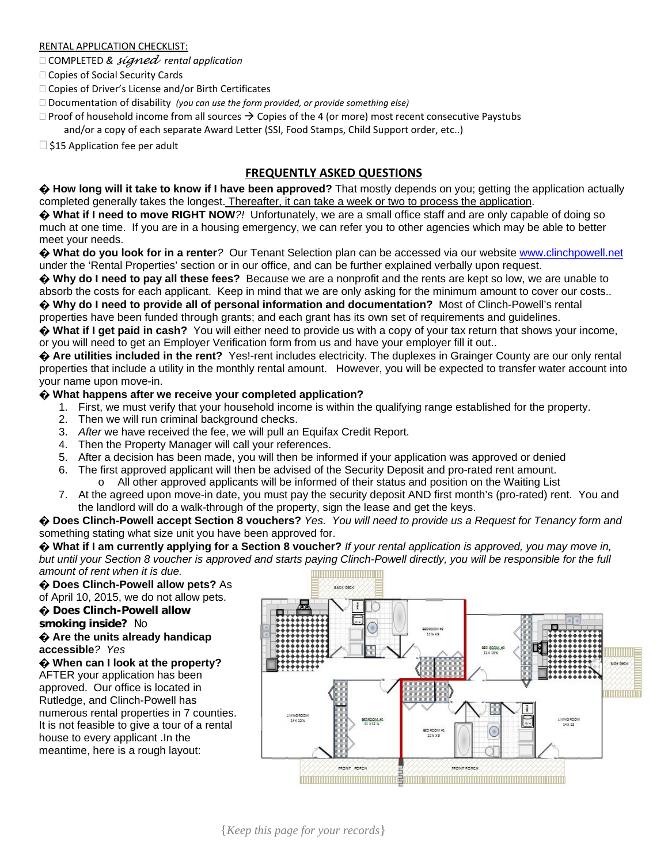### RENTAL APPLICATION CHECKLIST:

COMPLETED *& signed rental application*

- □ Copies of Social Security Cards
- □ Copies of Driver's License and/or Birth Certificates
- Documentation of disability *(you can use the form provided, or provide something else)*
- $\Box$  Proof of household income from all sources  $\rightarrow$  Copies of the 4 (or more) most recent consecutive Paystubs and/or a copy of each separate Award Letter (SSI, Food Stamps, Child Support order, etc..)

 $\Box$  \$15 Application fee per adult

## **FREQUENTLY ASKED QUESTIONS**

**� How long will it take to know if I have been approved?** That mostly depends on you; getting the application actually completed generally takes the longest. Thereafter, it can take a week or two to process the application.

**� What if I need to move RIGHT NOW***?!* Unfortunately, we are a small office staff and are only capable of doing so much at one time. If you are in a housing emergency, we can refer you to other agencies which may be able to better meet your needs.

**� What do you look for in a renter***?* Our Tenant Selection plan can be accessed via our website [www.clinchpowell.net](http://www.clinchpowell.net/) under the 'Rental Properties' section or in our office, and can be further explained verbally upon request.

**� Why do I need to pay all these fees?** Because we are a nonprofit and the rents are kept so low, we are unable to absorb the costs for each applicant. Keep in mind that we are only asking for the minimum amount to cover our costs.. **� Why do I need to provide all of personal information and documentation?** Most of Clinch-Powell's rental

properties have been funded through grants; and each grant has its own set of requirements and guidelines.

**� What if I get paid in cash?** You will either need to provide us with a copy of your tax return that shows your income, or you will need to get an Employer Verification form from us and have your employer fill it out..

**� Are utilities included in the rent?** Yes!-rent includes electricity. The duplexes in Grainger County are our only rental properties that include a utility in the monthly rental amount. However, you will be expected to transfer water account into your name upon move-in.

### **� What happens after we receive your completed application?**

- 1. First, we must verify that your household income is within the qualifying range established for the property.
- 2. Then we will run criminal background checks.
- 3. *After* we have received the fee, we will pull an Equifax Credit Report.
- 4. Then the Property Manager will call your references.
- 5. After a decision has been made, you will then be informed if your application was approved or denied
- 6. The first approved applicant will then be advised of the Security Deposit and pro-rated rent amount. All other approved applicants will be informed of their status and position on the Waiting List
- 7. At the agreed upon move-in date, you must pay the security deposit AND first month's (pro-rated) rent. You and the landlord will do a walk-through of the property, sign the lease and get the keys.

**� Does Clinch-Powell accept Section 8 vouchers?** *Yes. You will need to provide us a Request for Tenancy form and*  something stating what size unit you have been approved for.

**� What if I am currently applying for a Section 8 voucher?** *If your rental application is approved, you may move in, but until your Section 8 voucher is approved and starts paying Clinch-Powell directly, you will be responsible for the full amount of rent when it is due.* 

**� Does Clinch-Powell allow pets?** As of April 10, 2015, we do not allow pets. **� Does Clinch-Powell allow smoking inside?** No **� Are the units already handicap accessible***? Yes* **� When can I look at the property?**

AFTER your application has been approved. Our office is located in Rutledge, and Clinch-Powell has numerous rental properties in 7 counties. It is not feasible to give a tour of a rental house to every applicant .In the meantime, here is a rough layout:

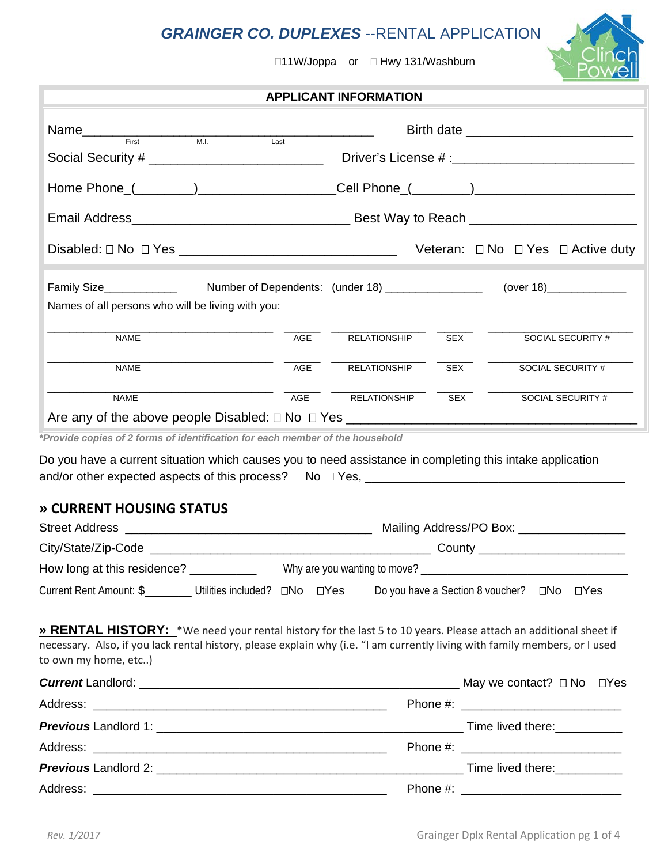# *GRAINGER CO. DUPLEXES* --RENTAL APPLICATION

**APPLICANT INFORMATION**

□11W/Joppa or □ Hwy 131/Washburn



| Name <b>Name Eirst</b><br>$\overline{\phantom{a}}$ M.I.                                                                                                                                                                                                                |      |                     |            | Birth date <u>the contract of the set of the set of the set of the set of the set of the set of the set of the set of the set of the set of the set of the set of the set of the set of the set of the set of the set of the set</u> |  |
|------------------------------------------------------------------------------------------------------------------------------------------------------------------------------------------------------------------------------------------------------------------------|------|---------------------|------------|--------------------------------------------------------------------------------------------------------------------------------------------------------------------------------------------------------------------------------------|--|
| Social Security # _______________________________                                                                                                                                                                                                                      | Last |                     |            |                                                                                                                                                                                                                                      |  |
| Home Phone_(________)_____________________Cell Phone_(_______)___________________                                                                                                                                                                                      |      |                     |            |                                                                                                                                                                                                                                      |  |
|                                                                                                                                                                                                                                                                        |      |                     |            |                                                                                                                                                                                                                                      |  |
|                                                                                                                                                                                                                                                                        |      |                     |            | Veteran: $\Box$ No $\Box$ Yes $\Box$ Active duty                                                                                                                                                                                     |  |
| Names of all persons who will be living with you:                                                                                                                                                                                                                      |      |                     |            |                                                                                                                                                                                                                                      |  |
| <b>NAME</b>                                                                                                                                                                                                                                                            | AGE  | <b>RELATIONSHIP</b> | <b>SEX</b> | SOCIAL SECURITY #                                                                                                                                                                                                                    |  |
| <b>NAME</b>                                                                                                                                                                                                                                                            | AGE  | RELATIONSHIP        | <b>SEX</b> | <b>SOCIAL SECURITY #</b>                                                                                                                                                                                                             |  |
| <b>NAME</b>                                                                                                                                                                                                                                                            | AGE  | <b>RELATIONSHIP</b> | <b>SEX</b> | SOCIAL SECURITY #                                                                                                                                                                                                                    |  |
| Do you have a current situation which causes you to need assistance in completing this intake application<br><b>» CURRENT HOUSING STATUS</b>                                                                                                                           |      |                     |            |                                                                                                                                                                                                                                      |  |
|                                                                                                                                                                                                                                                                        |      |                     |            |                                                                                                                                                                                                                                      |  |
|                                                                                                                                                                                                                                                                        |      |                     |            |                                                                                                                                                                                                                                      |  |
|                                                                                                                                                                                                                                                                        |      |                     |            |                                                                                                                                                                                                                                      |  |
| Current Rent Amount: \$_________ Utilities included? □No □Yes<br>Do you have a Section 8 voucher? □No □Yes                                                                                                                                                             |      |                     |            |                                                                                                                                                                                                                                      |  |
| » RENTAL HISTORY: *We need your rental history for the last 5 to 10 years. Please attach an additional sheet if<br>necessary. Also, if you lack rental history, please explain why (i.e. "I am currently living with family members, or I used<br>to own my home, etc) |      |                     |            |                                                                                                                                                                                                                                      |  |
|                                                                                                                                                                                                                                                                        |      |                     |            |                                                                                                                                                                                                                                      |  |
|                                                                                                                                                                                                                                                                        |      |                     |            |                                                                                                                                                                                                                                      |  |
|                                                                                                                                                                                                                                                                        |      |                     |            |                                                                                                                                                                                                                                      |  |
|                                                                                                                                                                                                                                                                        |      |                     |            |                                                                                                                                                                                                                                      |  |

*Previous* Landlord 2: \_\_\_\_\_\_\_\_\_\_\_\_\_\_\_\_\_\_\_\_\_\_\_\_\_\_\_\_\_\_\_\_\_\_\_\_\_\_\_\_\_\_\_\_\_\_ Time lived there:\_\_\_\_\_\_\_\_\_\_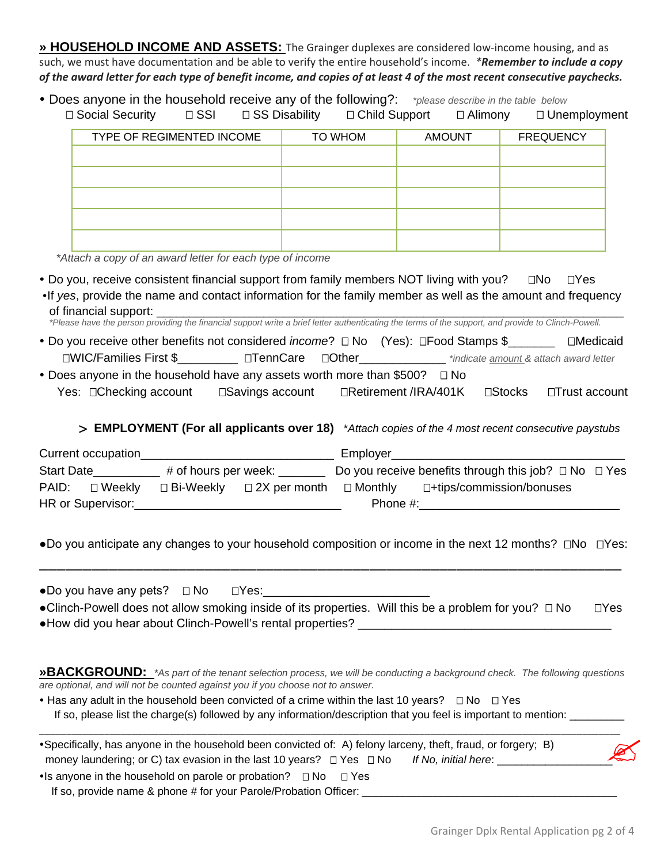**» HOUSEHOLD INCOME AND ASSETS:** The Grainger duplexes are considered low-income housing, and as such, we must have documentation and be able to verify the entire household's income. *\*Remember to include a copy of the award letter for each type of benefit income, and copies of at least 4 of the most recent consecutive paychecks.* 

| • Does anyone in the household receive any of the following?: *please describe in the table below |                       |  |                           |               |                     |  |
|---------------------------------------------------------------------------------------------------|-----------------------|--|---------------------------|---------------|---------------------|--|
| □ Social Security                                                                                 | □ SSI □ SS Disability |  | □ Child Support □ Alimony |               | $\Box$ Unemployment |  |
| TYPE OF REGIMENTED INCOME                                                                         |                       |  | TO WHOM                   | <b>AMOUNT</b> | <b>FREQUENCY</b>    |  |
|                                                                                                   |                       |  |                           |               |                     |  |
|                                                                                                   |                       |  |                           |               |                     |  |
|                                                                                                   |                       |  |                           |               |                     |  |
|                                                                                                   |                       |  |                           |               |                     |  |
|                                                                                                   |                       |  |                           |               |                     |  |
|                                                                                                   |                       |  |                           |               |                     |  |

*\*Attach a copy of an award letter for each type of income*

• Do you, receive consistent financial support from family members NOT living with you?  $\Box$ No  $\Box$ Yes

| •If yes, provide the name and contact information for the family member as well as the amount and frequency |  |  |  |
|-------------------------------------------------------------------------------------------------------------|--|--|--|
| of financial support: _                                                                                     |  |  |  |

*\*Please have the person providing the financial support write a brief letter authenticating the terms of the support, and provide to Clinch-Powell.*

- Do you receive other benefits not considered *income*?  $\Box$  No (Yes):  $\Box$  Food Stamps \$\_\_\_\_\_\_\_ Medicaid WIC/Families First \$\_\_\_\_\_\_\_\_\_ TennCareOther\_\_\_\_\_\_\_\_\_\_\_\_\_ *\*indicate amount & attach award letter*
- Does anyone in the household have any assets worth more than \$500?  $\Box$  No Yes: □Checking account □Savings account □Retirement /IRA/401K □Stocks □Trust account

> **EMPLOYMENT (For all applicants over 18)** \**Attach copies of the 4 most recent consecutive paystubs* 

|                   | Current occupation |                      |                                      | Employer    |                                                                |  |
|-------------------|--------------------|----------------------|--------------------------------------|-------------|----------------------------------------------------------------|--|
| <b>Start Date</b> |                    | # of hours per week: |                                      |             | Do you receive benefits through this job? $\Box$ No $\Box$ Yes |  |
| PAID:             | ⊟ Weekly           |                      | $\Box$ Bi-Weekly $\Box$ 2X per month | □ Monthly   | □+tips/commission/bonuses                                      |  |
|                   | HR or Supervisor:  |                      |                                      | Phone $#$ : |                                                                |  |

●Do you anticipate any changes to your household composition or income in the next 12 months? □No □Yes: \_\_\_\_\_\_\_\_\_\_\_\_\_\_\_\_\_\_\_\_\_\_\_\_\_\_\_\_\_\_\_\_\_\_\_\_\_\_\_\_\_\_\_\_\_\_\_\_\_\_\_\_\_\_\_\_\_\_\_\_\_\_\_\_\_\_\_

●Do you have any pets? No Yes:\_\_\_\_\_\_\_\_\_\_\_\_\_\_\_\_\_\_\_\_\_\_\_\_\_

| •Clinch-Powell does not allow smoking inside of its properties. Will this be a problem for you? $\Box$ No | $\Box$ Yes |
|-----------------------------------------------------------------------------------------------------------|------------|
| • How did you hear about Clinch-Powell's rental properties?                                               |            |

**»BACKGROUND:** *\*As part of the tenant selection process, we will be conducting a background check. The following questions are optional, and will not be counted against you if you choose not to answer.* 

• Has any adult in the household been convicted of a crime within the last 10 years?  $\Box$  No  $\Box$  Yes If so, please list the charge(s) followed by any information/description that you feel is important to mention:

| •Specifically, has anyone in the household been convicted of: A) felony larceny, theft, fraud, or forgery; B) |                                      |
|---------------------------------------------------------------------------------------------------------------|--------------------------------------|
| money laundering; or C) tax evasion in the last 10 years? $\Box$ Yes $\Box$ No                                | $\mathbb{Z}$<br>If No. initial here: |

• Is anyone in the household on parole or probation?  $\Box$  No  $\Box$  Yes If so, provide name & phone # for your Parole/Probation Officer: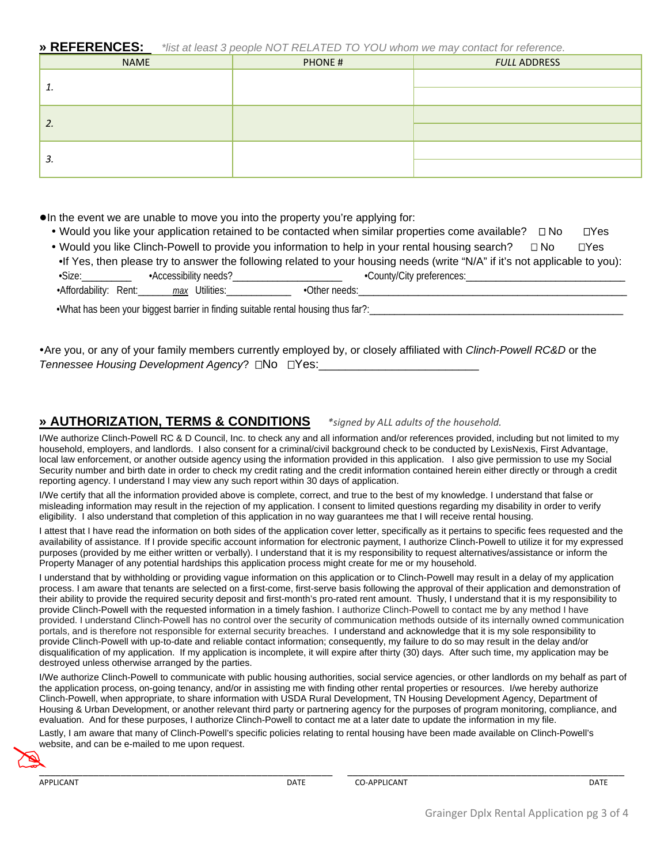**» REFERENCES:** *\*list at least 3 people NOT RELATED TO YOU whom we may contact for reference.*

| <b>NAME</b> | PHONE # | <b>FULL ADDRESS</b> |
|-------------|---------|---------------------|
|             |         |                     |
| <b>.</b>    |         |                     |
| 2.          |         |                     |
|             |         |                     |
|             |         |                     |
| 3.          |         |                     |

●In the event we are unable to move you into the property you're applying for:

• Would you like your application retained to be contacted when similar properties come available?  $\Box$  No  $\Box$  Yes

| . Would you like Clinch-Powell to provide you information to help in your rental housing search?<br>⊓Yes<br>$\sqcap$ No     |                       |                           |  |  |  |
|-----------------------------------------------------------------------------------------------------------------------------|-----------------------|---------------------------|--|--|--|
| •If Yes, then please try to answer the following related to your housing needs (write "N/A" if it's not applicable to you): |                       |                           |  |  |  |
| •Size:                                                                                                                      | -Accessibility needs? | •County/City preferences: |  |  |  |
| •Affordability: Rent:<br><i>max</i> Utilities:<br>•Other needs:                                                             |                       |                           |  |  |  |

•What has been your biggest barrier in finding suitable rental housing thus far?:

Are you, or any of your family members currently employed by, or closely affiliated with *Clinch-Powell RC&D* or the *Tennessee Housing Development Agency*? □No □Yes:

## **» AUTHORIZATION, TERMS & CONDITIONS** *\*signed by ALL adults of the household.*

I/We authorize Clinch-Powell RC & D Council, Inc. to check any and all information and/or references provided, including but not limited to my household, employers, and landlords. I also consent for a criminal/civil background check to be conducted by LexisNexis, First Advantage, local law enforcement, or another outside agency using the information provided in this application. I also give permission to use my Social Security number and birth date in order to check my credit rating and the credit information contained herein either directly or through a credit reporting agency. I understand I may view any such report within 30 days of application.

I/We certify that all the information provided above is complete, correct, and true to the best of my knowledge. I understand that false or misleading information may result in the rejection of my application. I consent to limited questions regarding my disability in order to verify eligibility. I also understand that completion of this application in no way guarantees me that I will receive rental housing.

I attest that I have read the information on both sides of the application cover letter, specifically as it pertains to specific fees requested and the availability of assistance. If I provide specific account information for electronic payment, I authorize Clinch-Powell to utilize it for my expressed purposes (provided by me either written or verbally). I understand that it is my responsibility to request alternatives/assistance or inform the Property Manager of any potential hardships this application process might create for me or my household.

I understand that by withholding or providing vague information on this application or to Clinch-Powell may result in a delay of my application process. I am aware that tenants are selected on a first-come, first-serve basis following the approval of their application and demonstration of their ability to provide the required security deposit and first-month's pro-rated rent amount. Thusly, I understand that it is my responsibility to provide Clinch-Powell with the requested information in a timely fashion. I authorize Clinch-Powell to contact me by any method I have provided. I understand Clinch-Powell has no control over the security of communication methods outside of its internally owned communication portals, and is therefore not responsible for external security breaches. I understand and acknowledge that it is my sole responsibility to provide Clinch-Powell with up-to-date and reliable contact information; consequently, my failure to do so may result in the delay and/or disqualification of my application. If my application is incomplete, it will expire after thirty (30) days. After such time, my application may be destroyed unless otherwise arranged by the parties.

I/We authorize Clinch-Powell to communicate with public housing authorities, social service agencies, or other landlords on my behalf as part of the application process, on-going tenancy, and/or in assisting me with finding other rental properties or resources. I/we hereby authorize Clinch-Powell, when appropriate, to share information with USDA Rural Development, TN Housing Development Agency, Department of Housing & Urban Development, or another relevant third party or partnering agency for the purposes of program monitoring, compliance, and evaluation. And for these purposes, I authorize Clinch-Powell to contact me at a later date to update the information in my file. Lastly, I am aware that many of Clinch-Powell's specific policies relating to rental housing have been made available on Clinch-Powell's website, and can be e-mailed to me upon request. No.

 $\sum_{i=1}^n\frac{1}{(i-1)!}\sum_{j=1}^n\frac{1}{(j-1)!}\sum_{j=1}^n\frac{1}{(j-1)!}\sum_{j=1}^n\frac{1}{(j-1)!}\sum_{j=1}^n\frac{1}{(j-1)!}\sum_{j=1}^n\frac{1}{(j-1)!}\sum_{j=1}^n\frac{1}{(j-1)!}\sum_{j=1}^n\frac{1}{(j-1)!}\sum_{j=1}^n\frac{1}{(j-1)!}\sum_{j=1}^n\frac{1}{(j-1)!}\sum_{j=1}^n\frac{1}{(j-1)!}\sum_{j=1}^n\frac$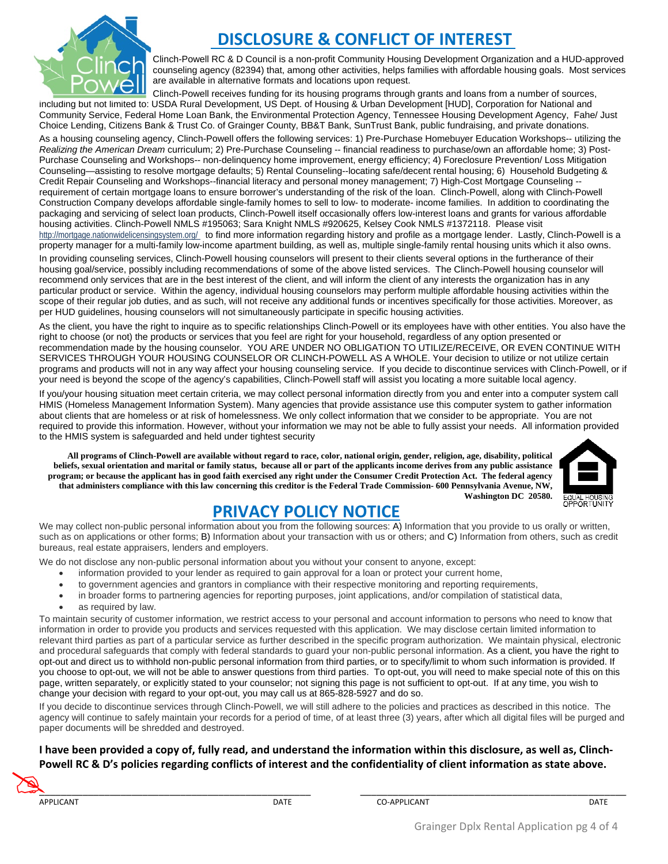

# **DISCLOSURE & CONFLICT OF INTEREST**

Clinch-Powell RC & D Council is a non-profit Community Housing Development Organization and a HUD-approved counseling agency (82394) that, among other activities, helps families with affordable housing goals. Most services are available in alternative formats and locations upon request.

Clinch-Powell receives funding for its housing programs through grants and loans from a number of sources, including but not limited to: USDA Rural Development, US Dept. of Housing & Urban Development [HUD], Corporation for National and Community Service, Federal Home Loan Bank, the Environmental Protection Agency, Tennessee Housing Development Agency, Fahe/ Just Choice Lending, Citizens Bank & Trust Co. of Grainger County, BB&T Bank, SunTrust Bank, public fundraising, and private donations.

As a housing counseling agency, Clinch-Powell offers the following services: 1) Pre-Purchase Homebuyer Education Workshops-- utilizing the *Realizing the American Dream* curriculum; 2) Pre-Purchase Counseling -- financial readiness to purchase/own an affordable home; 3) Post-Purchase Counseling and Workshops-- non-delinquency home improvement, energy efficiency; 4) Foreclosure Prevention/ Loss Mitigation Counseling—assisting to resolve mortgage defaults; 5) Rental Counseling--locating safe/decent rental housing; 6) Household Budgeting & Credit Repair Counseling and Workshops--financial literacy and personal money management; 7) High-Cost Mortgage Counseling - requirement of certain mortgage loans to ensure borrower's understanding of the risk of the loan. Clinch-Powell, along with Clinch-Powell Construction Company develops affordable single-family homes to sell to low- to moderate- income families. In addition to coordinating the packaging and servicing of select loan products, Clinch-Powell itself occasionally offers low-interest loans and grants for various affordable housing activities. Clinch-Powell NMLS #195063; Sara Knight NMLS #920625, Kelsey Cook NMLS #1372118. Please visit http://mortgage.nationwidelicensingsystem.org/ to find more information regarding history and profile as a mortgage lender. Lastly, Clinch-Powell is a property manager for a multi-family low-income apartment building, as well as, multiple single-family rental housing units which it also owns.

In providing counseling services, Clinch-Powell housing counselors will present to their clients several options in the furtherance of their housing goal/service, possibly including recommendations of some of the above listed services. The Clinch-Powell housing counselor will recommend only services that are in the best interest of the client, and will inform the client of any interests the organization has in any particular product or service. Within the agency, individual housing counselors may perform multiple affordable housing activities within the scope of their regular job duties, and as such, will not receive any additional funds or incentives specifically for those activities. Moreover, as per HUD guidelines, housing counselors will not simultaneously participate in specific housing activities.

As the client, you have the right to inquire as to specific relationships Clinch-Powell or its employees have with other entities. You also have the right to choose (or not) the products or services that you feel are right for your household, regardless of any option presented or recommendation made by the housing counselor. YOU ARE UNDER NO OBLIGATION TO UTILIZE/RECEIVE, OR EVEN CONTINUE WITH SERVICES THROUGH YOUR HOUSING COUNSELOR OR CLINCH-POWELL AS A WHOLE. Your decision to utilize or not utilize certain programs and products will not in any way affect your housing counseling service. If you decide to discontinue services with Clinch-Powell, or if your need is beyond the scope of the agency's capabilities, Clinch-Powell staff will assist you locating a more suitable local agency.

If you/your housing situation meet certain criteria, we may collect personal information directly from you and enter into a computer system call HMIS (Homeless Management Information System). Many agencies that provide assistance use this computer system to gather information about clients that are homeless or at risk of homelessness. We only collect information that we consider to be appropriate. You are not required to provide this information. However, without your information we may not be able to fully assist your needs. All information provided to the HMIS system is safeguarded and held under tightest security

**All programs of Clinch-Powell are available without regard to race, color, national origin, gender, religion, age, disability, political beliefs, sexual orientation and marital or family status, because all or part of the applicants income derives from any public assistance program; or because the applicant has in good faith exercised any right under the Consumer Credit Protection Act. The federal agency that administers compliance with this law concerning this creditor is the Federal Trade Commission- 600 Pennsylvania Avenue, NW, Washington DC 20580.**



# **PRIVACY POLICY NOTICE**

We may collect non-public personal information about you from the following sources: A) Information that you provide to us orally or written, such as on applications or other forms; B) Information about your transaction with us or others; and C) Information from others, such as credit bureaus, real estate appraisers, lenders and employers.

We do not disclose any non-public personal information about you without your consent to anyone, except:

- information provided to your lender as required to gain approval for a loan or protect your current home,
- to government agencies and grantors in compliance with their respective monitoring and reporting requirements,
- in broader forms to partnering agencies for reporting purposes, joint applications, and/or compilation of statistical data,
- as required by law.

To maintain security of customer information, we restrict access to your personal and account information to persons who need to know that information in order to provide you products and services requested with this application. We may disclose certain limited information to relevant third parties as part of a particular service as further described in the specific program authorization. We maintain physical, electronic and procedural safeguards that comply with federal standards to guard your non-public personal information. As a client, you have the right to opt-out and direct us to withhold non-public personal information from third parties, or to specify/limit to whom such information is provided. If you choose to opt-out, we will not be able to answer questions from third parties. To opt-out, you will need to make special note of this on this page, written separately, or explicitly stated to your counselor; not signing this page is not sufficient to opt-out. If at any time, you wish to change your decision with regard to your opt-out, you may call us at 865-828-5927 and do so.

If you decide to discontinue services through Clinch-Powell, we will still adhere to the policies and practices as described in this notice. The agency will continue to safely maintain your records for a period of time, of at least three (3) years, after which all digital files will be purged and paper documents will be shredded and destroyed.

## **I have been provided a copy of, fully read, and understand the information within this disclosure, as well as, Clinch-Powell RC & D's policies regarding conflicts of interest and the confidentiality of client information as state above.**

 $\blacktriangleright$  , and the contribution of the contribution of the contribution of the contribution of the contribution of the contribution of the contribution of the contribution of the contribution of the contribution of the con  $\sum_{n=1}^{R}$